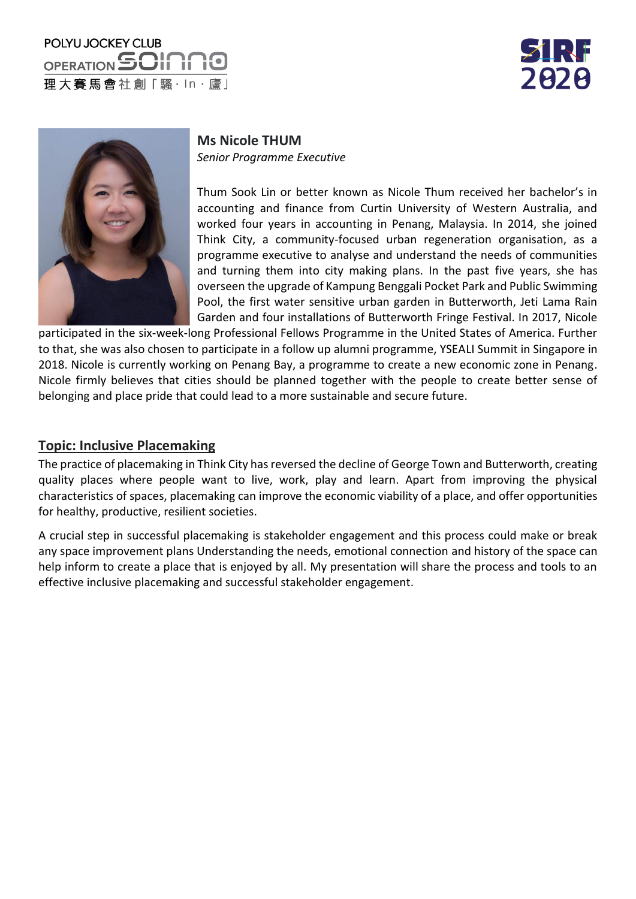# POLYU JOCKEY CLUB OPERATION SOIT 理大賽馬會社創「騷·ln·廬」





**Ms Nicole THUM** *Senior Programme Executive*

Thum Sook Lin or better known as Nicole Thum received her bachelor's in accounting and finance from Curtin University of Western Australia, and worked four years in accounting in Penang, Malaysia. In 2014, she joined Think City, a community-focused urban regeneration organisation, as a programme executive to analyse and understand the needs of communities and turning them into city making plans. In the past five years, she has overseen the upgrade of Kampung Benggali Pocket Park and Public Swimming Pool, the first water sensitive urban garden in Butterworth, Jeti Lama Rain Garden and four installations of Butterworth Fringe Festival. In 2017, Nicole

participated in the six-week-long Professional Fellows Programme in the United States of America. Further to that, she was also chosen to participate in a follow up alumni programme, YSEALI Summit in Singapore in 2018. Nicole is currently working on Penang Bay, a programme to create a new economic zone in Penang. Nicole firmly believes that cities should be planned together with the people to create better sense of belonging and place pride that could lead to a more sustainable and secure future.

#### **Topic: Inclusive Placemaking**

The practice of placemaking in Think City has reversed the decline of George Town and Butterworth, creating quality places where people want to live, work, play and learn. Apart from improving the physical characteristics of spaces, placemaking can improve the economic viability of a place, and offer opportunities for healthy, productive, resilient societies.

A crucial step in successful placemaking is stakeholder engagement and this process could make or break any space improvement plans Understanding the needs, emotional connection and history of the space can help inform to create a place that is enjoyed by all. My presentation will share the process and tools to an effective inclusive placemaking and successful stakeholder engagement.